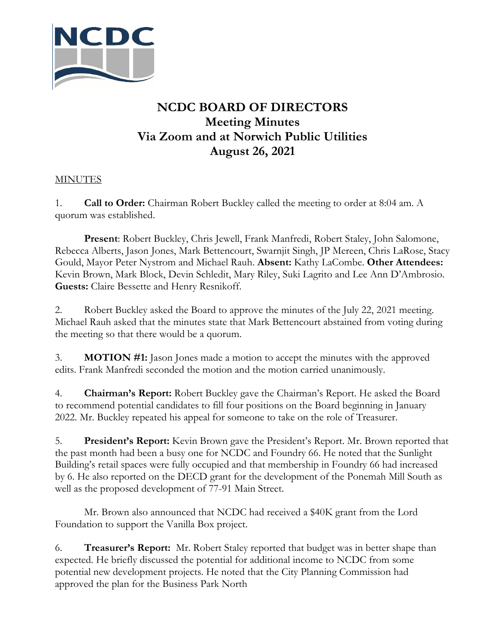

## **NCDC BOARD OF DIRECTORS Meeting Minutes Via Zoom and at Norwich Public Utilities August 26, 2021**

## **MINUTES**

1. **Call to Order:** Chairman Robert Buckley called the meeting to order at 8:04 am. A quorum was established.

**Present**: Robert Buckley, Chris Jewell, Frank Manfredi, Robert Staley, John Salomone, Rebecca Alberts, Jason Jones, Mark Bettencourt, Swarnjit Singh, JP Mereen, Chris LaRose, Stacy Gould, Mayor Peter Nystrom and Michael Rauh. **Absent:** Kathy LaCombe. **Other Attendees:** Kevin Brown, Mark Block, Devin Schledit, Mary Riley, Suki Lagrito and Lee Ann D'Ambrosio. **Guests:** Claire Bessette and Henry Resnikoff.

2. Robert Buckley asked the Board to approve the minutes of the July 22, 2021 meeting. Michael Rauh asked that the minutes state that Mark Bettencourt abstained from voting during the meeting so that there would be a quorum.

3. **MOTION #1:** Jason Jones made a motion to accept the minutes with the approved edits. Frank Manfredi seconded the motion and the motion carried unanimously.

4. **Chairman's Report:** Robert Buckley gave the Chairman's Report. He asked the Board to recommend potential candidates to fill four positions on the Board beginning in January 2022. Mr. Buckley repeated his appeal for someone to take on the role of Treasurer.

5. **President's Report:** Kevin Brown gave the President's Report. Mr. Brown reported that the past month had been a busy one for NCDC and Foundry 66. He noted that the Sunlight Building's retail spaces were fully occupied and that membership in Foundry 66 had increased by 6. He also reported on the DECD grant for the development of the Ponemah Mill South as well as the proposed development of 77-91 Main Street.

Mr. Brown also announced that NCDC had received a \$40K grant from the Lord Foundation to support the Vanilla Box project.

6. **Treasurer's Report:** Mr. Robert Staley reported that budget was in better shape than expected. He briefly discussed the potential for additional income to NCDC from some potential new development projects. He noted that the City Planning Commission had approved the plan for the Business Park North